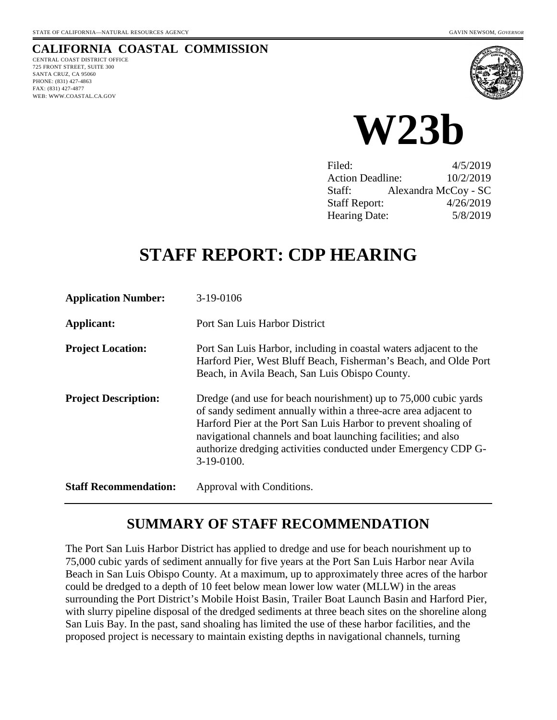# **CALIFORNIA COASTAL COMMISSION**

CENTRAL COAST DISTRICT OFFICE 725 FRONT STREET, SUITE 300 SANTA CRUZ, CA 95060 PHONE: (831) 427-4863 FAX: (831) 427-4877 WEB: WWW.COASTAL.CA.GOV



**W23b** 

| Filed:                  | 4/5/2019             |
|-------------------------|----------------------|
| <b>Action Deadline:</b> | 10/2/2019            |
| Staff:                  | Alexandra McCoy - SC |
| <b>Staff Report:</b>    | 4/26/2019            |
| <b>Hearing Date:</b>    | 5/8/2019             |

# **STAFF REPORT: CDP HEARING**

| <b>Application Number:</b>   | 3-19-0106                                                                                                                                                                                                                                                                                                                                              |
|------------------------------|--------------------------------------------------------------------------------------------------------------------------------------------------------------------------------------------------------------------------------------------------------------------------------------------------------------------------------------------------------|
| <b>Applicant:</b>            | Port San Luis Harbor District                                                                                                                                                                                                                                                                                                                          |
| <b>Project Location:</b>     | Port San Luis Harbor, including in coastal waters adjacent to the<br>Harford Pier, West Bluff Beach, Fisherman's Beach, and Olde Port<br>Beach, in Avila Beach, San Luis Obispo County.                                                                                                                                                                |
| <b>Project Description:</b>  | Dredge (and use for beach nourishment) up to 75,000 cubic yards<br>of sandy sediment annually within a three-acre area adjacent to<br>Harford Pier at the Port San Luis Harbor to prevent shoaling of<br>navigational channels and boat launching facilities; and also<br>authorize dredging activities conducted under Emergency CDP G-<br>3-19-0100. |
| <b>Staff Recommendation:</b> | Approval with Conditions.                                                                                                                                                                                                                                                                                                                              |

# **SUMMARY OF STAFF RECOMMENDATION**

The Port San Luis Harbor District has applied to dredge and use for beach nourishment up to 75,000 cubic yards of sediment annually for five years at the Port San Luis Harbor near Avila Beach in San Luis Obispo County. At a maximum, up to approximately three acres of the harbor could be dredged to a depth of 10 feet below mean lower low water (MLLW) in the areas surrounding the Port District's Mobile Hoist Basin, Trailer Boat Launch Basin and Harford Pier, with slurry pipeline disposal of the dredged sediments at three beach sites on the shoreline along San Luis Bay. In the past, sand shoaling has limited the use of these harbor facilities, and the proposed project is necessary to maintain existing depths in navigational channels, turning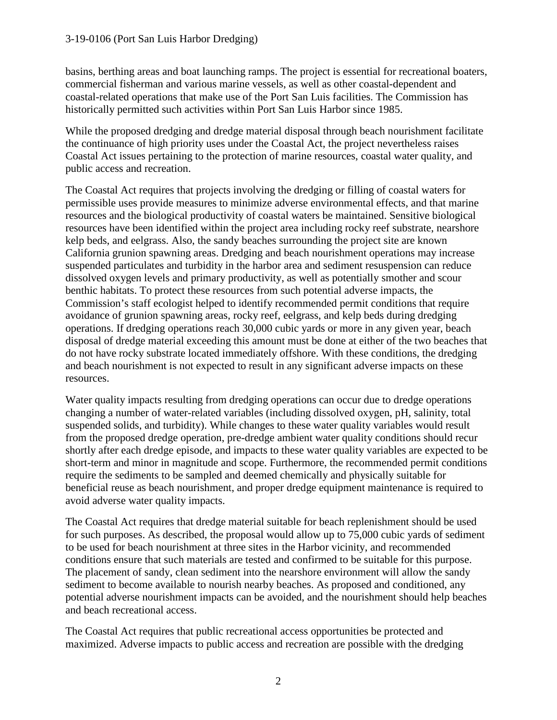basins, berthing areas and boat launching ramps. The project is essential for recreational boaters, commercial fisherman and various marine vessels, as well as other coastal-dependent and coastal-related operations that make use of the Port San Luis facilities. The Commission has historically permitted such activities within Port San Luis Harbor since 1985.

While the proposed dredging and dredge material disposal through beach nourishment facilitate the continuance of high priority uses under the Coastal Act, the project nevertheless raises Coastal Act issues pertaining to the protection of marine resources, coastal water quality, and public access and recreation.

The Coastal Act requires that projects involving the dredging or filling of coastal waters for permissible uses provide measures to minimize adverse environmental effects, and that marine resources and the biological productivity of coastal waters be maintained. Sensitive biological resources have been identified within the project area including rocky reef substrate, nearshore kelp beds, and eelgrass. Also, the sandy beaches surrounding the project site are known California grunion spawning areas. Dredging and beach nourishment operations may increase suspended particulates and turbidity in the harbor area and sediment resuspension can reduce dissolved oxygen levels and primary productivity, as well as potentially smother and scour benthic habitats. To protect these resources from such potential adverse impacts, the Commission's staff ecologist helped to identify recommended permit conditions that require avoidance of grunion spawning areas, rocky reef, eelgrass, and kelp beds during dredging operations. If dredging operations reach 30,000 cubic yards or more in any given year, beach disposal of dredge material exceeding this amount must be done at either of the two beaches that do not have rocky substrate located immediately offshore. With these conditions, the dredging and beach nourishment is not expected to result in any significant adverse impacts on these resources.

Water quality impacts resulting from dredging operations can occur due to dredge operations changing a number of water-related variables (including dissolved oxygen, pH, salinity, total suspended solids, and turbidity). While changes to these water quality variables would result from the proposed dredge operation, pre-dredge ambient water quality conditions should recur shortly after each dredge episode, and impacts to these water quality variables are expected to be short-term and minor in magnitude and scope. Furthermore, the recommended permit conditions require the sediments to be sampled and deemed chemically and physically suitable for beneficial reuse as beach nourishment, and proper dredge equipment maintenance is required to avoid adverse water quality impacts.

The Coastal Act requires that dredge material suitable for beach replenishment should be used for such purposes. As described, the proposal would allow up to 75,000 cubic yards of sediment to be used for beach nourishment at three sites in the Harbor vicinity, and recommended conditions ensure that such materials are tested and confirmed to be suitable for this purpose. The placement of sandy, clean sediment into the nearshore environment will allow the sandy sediment to become available to nourish nearby beaches. As proposed and conditioned, any potential adverse nourishment impacts can be avoided, and the nourishment should help beaches and beach recreational access.

The Coastal Act requires that public recreational access opportunities be protected and maximized. Adverse impacts to public access and recreation are possible with the dredging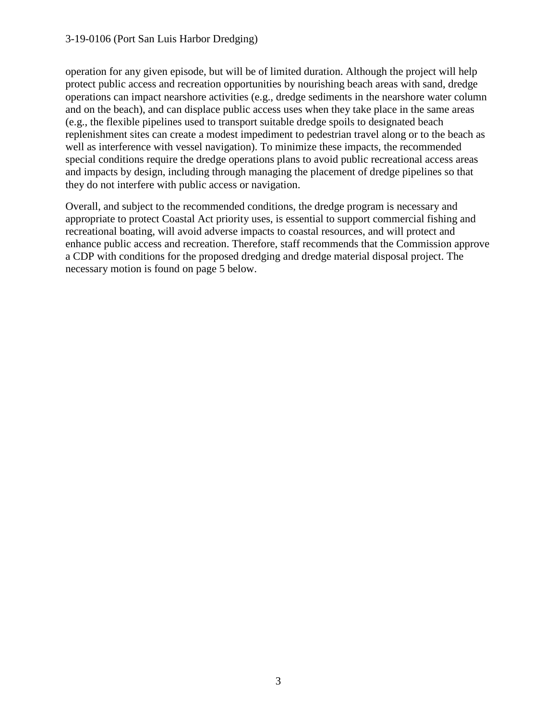operation for any given episode, but will be of limited duration. Although the project will help protect public access and recreation opportunities by nourishing beach areas with sand, dredge operations can impact nearshore activities (e.g., dredge sediments in the nearshore water column and on the beach), and can displace public access uses when they take place in the same areas (e.g., the flexible pipelines used to transport suitable dredge spoils to designated beach replenishment sites can create a modest impediment to pedestrian travel along or to the beach as well as interference with vessel navigation). To minimize these impacts, the recommended special conditions require the dredge operations plans to avoid public recreational access areas and impacts by design, including through managing the placement of dredge pipelines so that they do not interfere with public access or navigation.

Overall, and subject to the recommended conditions, the dredge program is necessary and appropriate to protect Coastal Act priority uses, is essential to support commercial fishing and recreational boating, will avoid adverse impacts to coastal resources, and will protect and enhance public access and recreation. Therefore, staff recommends that the Commission approve a CDP with conditions for the proposed dredging and dredge material disposal project. The necessary motion is found on page 5 below.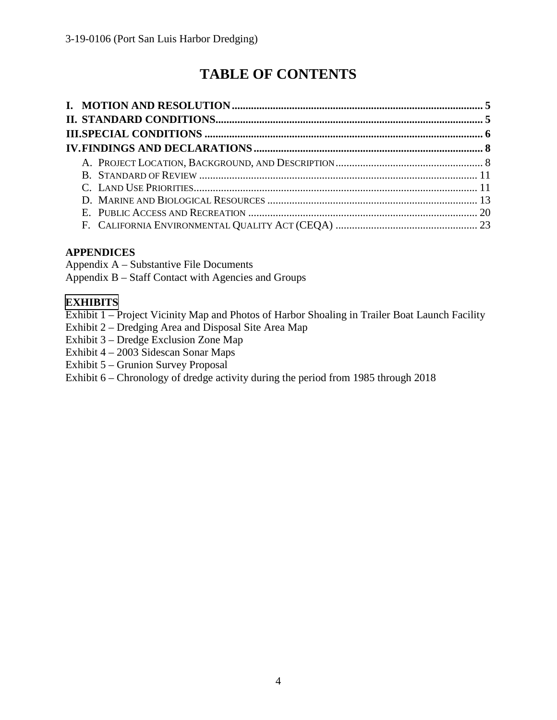# **TABLE OF CONTENTS**

### **APPENDICES**

Appendix A – Substantive File Documents Appendix B – Staff Contact with Agencies and Groups

### **[EXHIBITS](https://documents.coastal.ca.gov/reports/2019/5/W23b/W23b-5-2019-report.pdf)**

- Exhibit 1 Project Vicinity Map and Photos of Harbor Shoaling in Trailer Boat Launch Facility
- Exhibit 2 Dredging Area and Disposal Site Area Map
- Exhibit 3 Dredge Exclusion Zone Map
- Exhibit 4 2003 Sidescan Sonar Maps
- Exhibit 5 Grunion Survey Proposal
- Exhibit 6 Chronology of dredge activity during the period from 1985 through 2018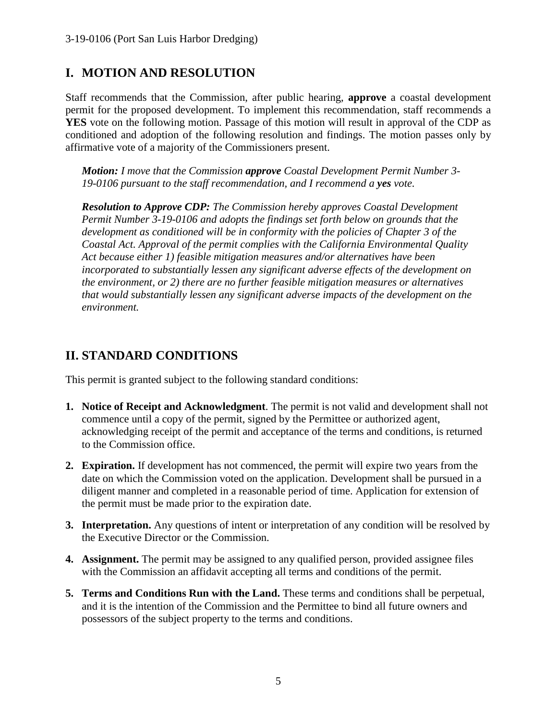# **I. MOTION AND RESOLUTION**

Staff recommends that the Commission, after public hearing, **approve** a coastal development permit for the proposed development. To implement this recommendation, staff recommends a **YES** vote on the following motion. Passage of this motion will result in approval of the CDP as conditioned and adoption of the following resolution and findings. The motion passes only by affirmative vote of a majority of the Commissioners present.

*Motion: I move that the Commission approve Coastal Development Permit Number 3- 19-0106 pursuant to the staff recommendation, and I recommend a yes vote.* 

*Resolution to Approve CDP: The Commission hereby approves Coastal Development Permit Number 3-19-0106 and adopts the findings set forth below on grounds that the development as conditioned will be in conformity with the policies of Chapter 3 of the Coastal Act. Approval of the permit complies with the California Environmental Quality Act because either 1) feasible mitigation measures and/or alternatives have been incorporated to substantially lessen any significant adverse effects of the development on the environment, or 2) there are no further feasible mitigation measures or alternatives that would substantially lessen any significant adverse impacts of the development on the environment.* 

# **II. STANDARD CONDITIONS**

This permit is granted subject to the following standard conditions:

- **1. Notice of Receipt and Acknowledgment**. The permit is not valid and development shall not commence until a copy of the permit, signed by the Permittee or authorized agent, acknowledging receipt of the permit and acceptance of the terms and conditions, is returned to the Commission office.
- **2. Expiration.** If development has not commenced, the permit will expire two years from the date on which the Commission voted on the application. Development shall be pursued in a diligent manner and completed in a reasonable period of time. Application for extension of the permit must be made prior to the expiration date.
- **3. Interpretation.** Any questions of intent or interpretation of any condition will be resolved by the Executive Director or the Commission.
- **4. Assignment.** The permit may be assigned to any qualified person, provided assignee files with the Commission an affidavit accepting all terms and conditions of the permit.
- **5. Terms and Conditions Run with the Land.** These terms and conditions shall be perpetual, and it is the intention of the Commission and the Permittee to bind all future owners and possessors of the subject property to the terms and conditions.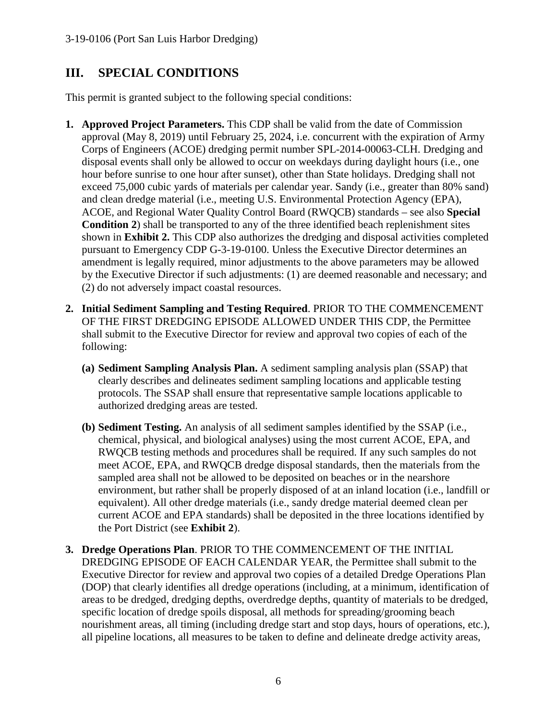# **III. SPECIAL CONDITIONS**

This permit is granted subject to the following special conditions:

- **1. Approved Project Parameters.** This CDP shall be valid from the date of Commission approval (May 8, 2019) until February 25, 2024, i.e. concurrent with the expiration of Army Corps of Engineers (ACOE) dredging permit number SPL-2014-00063-CLH. Dredging and disposal events shall only be allowed to occur on weekdays during daylight hours (i.e., one hour before sunrise to one hour after sunset), other than State holidays. Dredging shall not exceed 75,000 cubic yards of materials per calendar year. Sandy (i.e., greater than 80% sand) and clean dredge material (i.e., meeting U.S. Environmental Protection Agency (EPA), ACOE, and Regional Water Quality Control Board (RWQCB) standards – see also **Special Condition 2**) shall be transported to any of the three identified beach replenishment sites shown in **Exhibit 2.** This CDP also authorizes the dredging and disposal activities completed pursuant to Emergency CDP G-3-19-0100. Unless the Executive Director determines an amendment is legally required, minor adjustments to the above parameters may be allowed by the Executive Director if such adjustments: (1) are deemed reasonable and necessary; and (2) do not adversely impact coastal resources.
- **2. Initial Sediment Sampling and Testing Required**. PRIOR TO THE COMMENCEMENT OF THE FIRST DREDGING EPISODE ALLOWED UNDER THIS CDP, the Permittee shall submit to the Executive Director for review and approval two copies of each of the following:
	- **(a) Sediment Sampling Analysis Plan.** A sediment sampling analysis plan (SSAP) that clearly describes and delineates sediment sampling locations and applicable testing protocols. The SSAP shall ensure that representative sample locations applicable to authorized dredging areas are tested.
	- **(b) Sediment Testing.** An analysis of all sediment samples identified by the SSAP (i.e., chemical, physical, and biological analyses) using the most current ACOE, EPA, and RWQCB testing methods and procedures shall be required. If any such samples do not meet ACOE, EPA, and RWQCB dredge disposal standards, then the materials from the sampled area shall not be allowed to be deposited on beaches or in the nearshore environment, but rather shall be properly disposed of at an inland location (i.e., landfill or equivalent). All other dredge materials (i.e., sandy dredge material deemed clean per current ACOE and EPA standards) shall be deposited in the three locations identified by the Port District (see **Exhibit 2**).
- **3. Dredge Operations Plan**. PRIOR TO THE COMMENCEMENT OF THE INITIAL DREDGING EPISODE OF EACH CALENDAR YEAR, the Permittee shall submit to the Executive Director for review and approval two copies of a detailed Dredge Operations Plan (DOP) that clearly identifies all dredge operations (including, at a minimum, identification of areas to be dredged, dredging depths, overdredge depths, quantity of materials to be dredged, specific location of dredge spoils disposal, all methods for spreading/grooming beach nourishment areas, all timing (including dredge start and stop days, hours of operations, etc.), all pipeline locations, all measures to be taken to define and delineate dredge activity areas,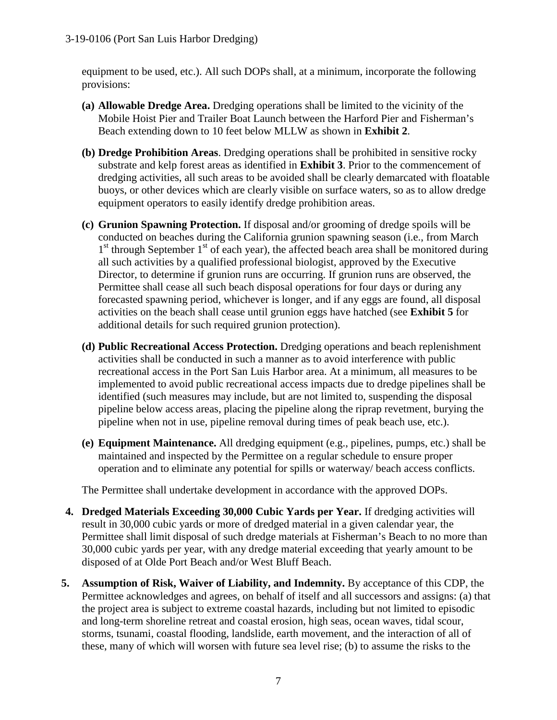equipment to be used, etc.). All such DOPs shall, at a minimum, incorporate the following provisions:

- **(a) Allowable Dredge Area.** Dredging operations shall be limited to the vicinity of the Mobile Hoist Pier and Trailer Boat Launch between the Harford Pier and Fisherman's Beach extending down to 10 feet below MLLW as shown in **Exhibit 2**.
- **(b) Dredge Prohibition Areas**. Dredging operations shall be prohibited in sensitive rocky substrate and kelp forest areas as identified in **Exhibit 3**. Prior to the commencement of dredging activities, all such areas to be avoided shall be clearly demarcated with floatable buoys, or other devices which are clearly visible on surface waters, so as to allow dredge equipment operators to easily identify dredge prohibition areas.
- **(c) Grunion Spawning Protection.** If disposal and/or grooming of dredge spoils will be conducted on beaches during the California grunion spawning season (i.e., from March  $1<sup>st</sup>$  through September  $1<sup>st</sup>$  of each year), the affected beach area shall be monitored during all such activities by a qualified professional biologist, approved by the Executive Director, to determine if grunion runs are occurring. If grunion runs are observed, the Permittee shall cease all such beach disposal operations for four days or during any forecasted spawning period, whichever is longer, and if any eggs are found, all disposal activities on the beach shall cease until grunion eggs have hatched (see **Exhibit 5** for additional details for such required grunion protection).
- **(d) Public Recreational Access Protection.** Dredging operations and beach replenishment activities shall be conducted in such a manner as to avoid interference with public recreational access in the Port San Luis Harbor area. At a minimum, all measures to be implemented to avoid public recreational access impacts due to dredge pipelines shall be identified (such measures may include, but are not limited to, suspending the disposal pipeline below access areas, placing the pipeline along the riprap revetment, burying the pipeline when not in use, pipeline removal during times of peak beach use, etc.).
- **(e) Equipment Maintenance.** All dredging equipment (e.g., pipelines, pumps, etc.) shall be maintained and inspected by the Permittee on a regular schedule to ensure proper operation and to eliminate any potential for spills or waterway/ beach access conflicts.

The Permittee shall undertake development in accordance with the approved DOPs.

- **4. Dredged Materials Exceeding 30,000 Cubic Yards per Year.** If dredging activities will result in 30,000 cubic yards or more of dredged material in a given calendar year, the Permittee shall limit disposal of such dredge materials at Fisherman's Beach to no more than 30,000 cubic yards per year, with any dredge material exceeding that yearly amount to be disposed of at Olde Port Beach and/or West Bluff Beach.
- **5. Assumption of Risk, Waiver of Liability, and Indemnity.** By acceptance of this CDP, the Permittee acknowledges and agrees, on behalf of itself and all successors and assigns: (a) that the project area is subject to extreme coastal hazards, including but not limited to episodic and long-term shoreline retreat and coastal erosion, high seas, ocean waves, tidal scour, storms, tsunami, coastal flooding, landslide, earth movement, and the interaction of all of these, many of which will worsen with future sea level rise; (b) to assume the risks to the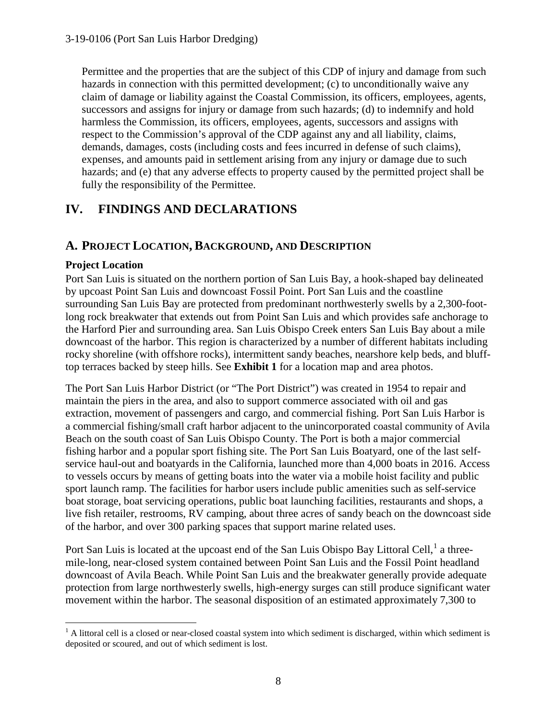Permittee and the properties that are the subject of this CDP of injury and damage from such hazards in connection with this permitted development; (c) to unconditionally waive any claim of damage or liability against the Coastal Commission, its officers, employees, agents, successors and assigns for injury or damage from such hazards; (d) to indemnify and hold harmless the Commission, its officers, employees, agents, successors and assigns with respect to the Commission's approval of the CDP against any and all liability, claims, demands, damages, costs (including costs and fees incurred in defense of such claims), expenses, and amounts paid in settlement arising from any injury or damage due to such hazards; and (e) that any adverse effects to property caused by the permitted project shall be fully the responsibility of the Permittee.

# **IV. FINDINGS AND DECLARATIONS**

### **A. PROJECT LOCATION, BACKGROUND, AND DESCRIPTION**

### **Project Location**

Port San Luis is situated on the northern portion of San Luis Bay, a hook-shaped bay delineated by upcoast Point San Luis and downcoast Fossil Point. Port San Luis and the coastline surrounding San Luis Bay are protected from predominant northwesterly swells by a 2,300-footlong rock breakwater that extends out from Point San Luis and which provides safe anchorage to the Harford Pier and surrounding area. San Luis Obispo Creek enters San Luis Bay about a mile downcoast of the harbor. This region is characterized by a number of different habitats including rocky shoreline (with offshore rocks), intermittent sandy beaches, nearshore kelp beds, and blufftop terraces backed by steep hills. See **Exhibit 1** for a location map and area photos.

The Port San Luis Harbor District (or "The Port District") was created in 1954 to repair and maintain the piers in the area, and also to support commerce associated with oil and gas extraction, movement of passengers and cargo, and commercial fishing. Port San Luis Harbor is a commercial fishing/small craft harbor adjacent to the unincorporated coastal community of Avila Beach on the south coast of San Luis Obispo County. The Port is both a major commercial fishing harbor and a popular sport fishing site. The Port San Luis Boatyard, one of the last selfservice haul-out and boatyards in the California, launched more than 4,000 boats in 2016. Access to vessels occurs by means of getting boats into the water via a mobile hoist facility and public sport launch ramp. The facilities for harbor users include public amenities such as self-service boat storage, boat servicing operations, public boat launching facilities, restaurants and shops, a live fish retailer, restrooms, RV camping, about three acres of sandy beach on the downcoast side of the harbor, and over 300 parking spaces that support marine related uses.

Port San Luis is located at the upcoast end of the San Luis Obispo Bay Littoral Cell,<sup>[1](#page-7-0)</sup> a threemile-long, near-closed system contained between Point San Luis and the Fossil Point headland downcoast of Avila Beach. While Point San Luis and the breakwater generally provide adequate protection from large northwesterly swells, high-energy surges can still produce significant water movement within the harbor. The seasonal disposition of an estimated approximately 7,300 to

<span id="page-7-0"></span> $\overline{a}$  $<sup>1</sup>$  A littoral cell is a closed or near-closed coastal system into which sediment is discharged, within which sediment is</sup> deposited or scoured, and out of which sediment is lost.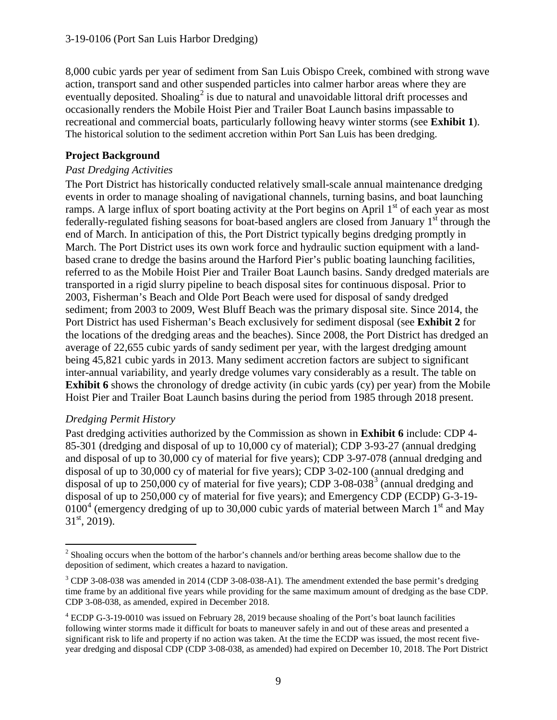8,000 cubic yards per year of sediment from San Luis Obispo Creek, combined with strong wave action, transport sand and other suspended particles into calmer harbor areas where they are eventually deposited. Shoaling<sup>[2](#page-8-0)</sup> is due to natural and unavoidable littoral drift processes and occasionally renders the Mobile Hoist Pier and Trailer Boat Launch basins impassable to recreational and commercial boats, particularly following heavy winter storms (see **Exhibit 1**). The historical solution to the sediment accretion within Port San Luis has been dredging.

### **Project Background**

### *Past Dredging Activities*

The Port District has historically conducted relatively small-scale annual maintenance dredging events in order to manage shoaling of navigational channels, turning basins, and boat launching ramps. A large influx of sport boating activity at the Port begins on April  $1<sup>st</sup>$  of each year as most federally-regulated fishing seasons for boat-based anglers are closed from January  $1<sup>st</sup>$  through the end of March. In anticipation of this, the Port District typically begins dredging promptly in March. The Port District uses its own work force and hydraulic suction equipment with a landbased crane to dredge the basins around the Harford Pier's public boating launching facilities, referred to as the Mobile Hoist Pier and Trailer Boat Launch basins. Sandy dredged materials are transported in a rigid slurry pipeline to beach disposal sites for continuous disposal. Prior to 2003, Fisherman's Beach and Olde Port Beach were used for disposal of sandy dredged sediment; from 2003 to 2009, West Bluff Beach was the primary disposal site. Since 2014, the Port District has used Fisherman's Beach exclusively for sediment disposal (see **Exhibit 2** for the locations of the dredging areas and the beaches). Since 2008, the Port District has dredged an average of 22,655 cubic yards of sandy sediment per year, with the largest dredging amount being 45,821 cubic yards in 2013. Many sediment accretion factors are subject to significant inter-annual variability, and yearly dredge volumes vary considerably as a result. The table on **Exhibit 6** shows the chronology of dredge activity (in cubic yards (cy) per year) from the Mobile Hoist Pier and Trailer Boat Launch basins during the period from 1985 through 2018 present.

### *Dredging Permit History*

Past dredging activities authorized by the Commission as shown in **Exhibit 6** include: CDP 4- 85-301 (dredging and disposal of up to 10,000 cy of material); CDP 3-93-27 (annual dredging and disposal of up to 30,000 cy of material for five years); CDP 3-97-078 (annual dredging and disposal of up to 30,000 cy of material for five years); CDP 3-02-100 (annual dredging and disposal of up to 250,000 cy of material for five years); CDP [3](#page-8-1)-08-038 $3$  (annual dredging and disposal of up to 250,000 cy of material for five years); and Emergency CDP (ECDP) G-3-19- 0100<sup>[4](#page-8-2)</sup> (emergency dredging of up to 30,000 cubic yards of material between March 1<sup>st</sup> and May  $31<sup>st</sup>$ , 2019).

<span id="page-8-0"></span> $\overline{a}$ <sup>2</sup> Shoaling occurs when the bottom of the harbor's channels and/or berthing areas become shallow due to the deposition of sediment, which creates a hazard to navigation.

<span id="page-8-1"></span><sup>&</sup>lt;sup>3</sup> CDP 3-08-038 was amended in 2014 (CDP 3-08-038-A1). The amendment extended the base permit's dredging time frame by an additional five years while providing for the same maximum amount of dredging as the base CDP. CDP 3-08-038, as amended, expired in December 2018.

<span id="page-8-2"></span><sup>4</sup> ECDP G-3-19-0010 was issued on February 28, 2019 because shoaling of the Port's boat launch facilities following winter storms made it difficult for boats to maneuver safely in and out of these areas and presented a significant risk to life and property if no action was taken. At the time the ECDP was issued, the most recent fiveyear dredging and disposal CDP (CDP 3-08-038, as amended) had expired on December 10, 2018. The Port District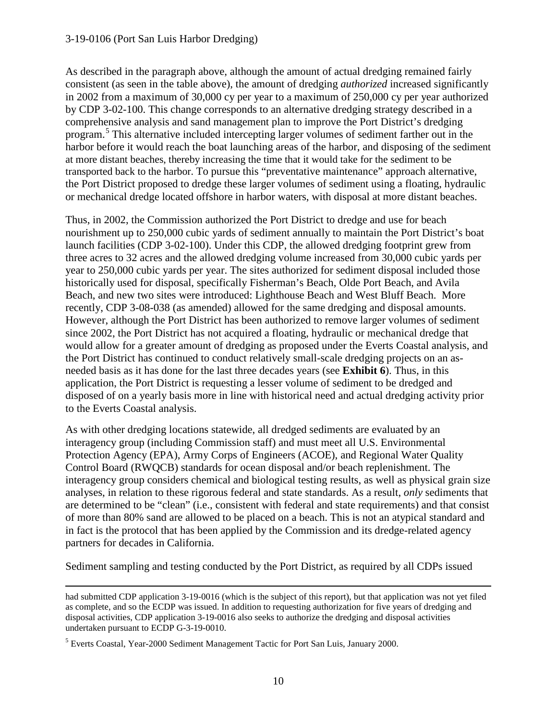As described in the paragraph above, although the amount of actual dredging remained fairly consistent (as seen in the table above), the amount of dredging *authorized* increased significantly in 2002 from a maximum of 30,000 cy per year to a maximum of 250,000 cy per year authorized by CDP 3-02-100. This change corresponds to an alternative dredging strategy described in a comprehensive analysis and sand management plan to improve the Port District's dredging program.[5](#page-9-0) This alternative included intercepting larger volumes of sediment farther out in the harbor before it would reach the boat launching areas of the harbor, and disposing of the sediment at more distant beaches, thereby increasing the time that it would take for the sediment to be transported back to the harbor. To pursue this "preventative maintenance" approach alternative, the Port District proposed to dredge these larger volumes of sediment using a floating, hydraulic or mechanical dredge located offshore in harbor waters, with disposal at more distant beaches.

Thus, in 2002, the Commission authorized the Port District to dredge and use for beach nourishment up to 250,000 cubic yards of sediment annually to maintain the Port District's boat launch facilities (CDP 3-02-100). Under this CDP, the allowed dredging footprint grew from three acres to 32 acres and the allowed dredging volume increased from 30,000 cubic yards per year to 250,000 cubic yards per year. The sites authorized for sediment disposal included those historically used for disposal, specifically Fisherman's Beach, Olde Port Beach, and Avila Beach, and new two sites were introduced: Lighthouse Beach and West Bluff Beach. More recently, CDP 3-08-038 (as amended) allowed for the same dredging and disposal amounts. However, although the Port District has been authorized to remove larger volumes of sediment since 2002, the Port District has not acquired a floating, hydraulic or mechanical dredge that would allow for a greater amount of dredging as proposed under the Everts Coastal analysis, and the Port District has continued to conduct relatively small-scale dredging projects on an asneeded basis as it has done for the last three decades years (see **Exhibit 6**). Thus, in this application, the Port District is requesting a lesser volume of sediment to be dredged and disposed of on a yearly basis more in line with historical need and actual dredging activity prior to the Everts Coastal analysis.

As with other dredging locations statewide, all dredged sediments are evaluated by an interagency group (including Commission staff) and must meet all U.S. Environmental Protection Agency (EPA), Army Corps of Engineers (ACOE), and Regional Water Quality Control Board (RWQCB) standards for ocean disposal and/or beach replenishment. The interagency group considers chemical and biological testing results, as well as physical grain size analyses, in relation to these rigorous federal and state standards. As a result, *only* sediments that are determined to be "clean" (i.e., consistent with federal and state requirements) and that consist of more than 80% sand are allowed to be placed on a beach. This is not an atypical standard and in fact is the protocol that has been applied by the Commission and its dredge-related agency partners for decades in California.

Sediment sampling and testing conducted by the Port District, as required by all CDPs issued

 $\overline{a}$ 

had submitted CDP application 3-19-0016 (which is the subject of this report), but that application was not yet filed as complete, and so the ECDP was issued. In addition to requesting authorization for five years of dredging and disposal activities, CDP application 3-19-0016 also seeks to authorize the dredging and disposal activities undertaken pursuant to ECDP G-3-19-0010.

<span id="page-9-0"></span><sup>5</sup> Everts Coastal, Year-2000 Sediment Management Tactic for Port San Luis, January 2000.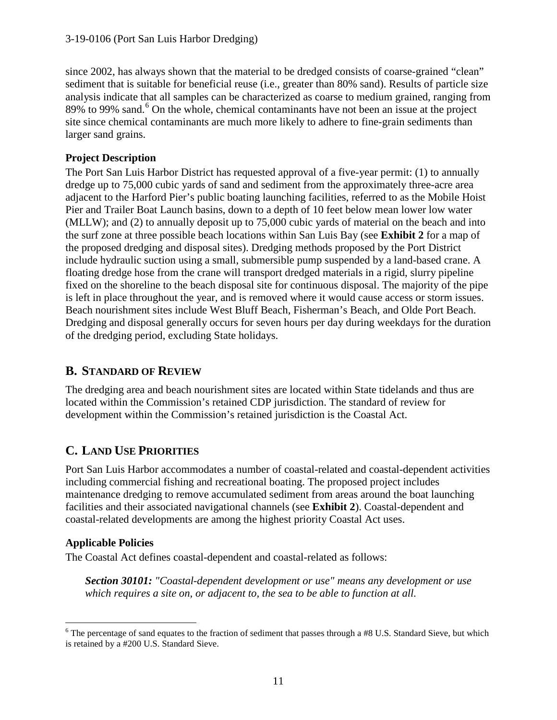since 2002, has always shown that the material to be dredged consists of coarse-grained "clean" sediment that is suitable for beneficial reuse (i.e., greater than 80% sand). Results of particle size analysis indicate that all samples can be characterized as coarse to medium grained, ranging from 89% to 99% sand.<sup>[6](#page-10-0)</sup> On the whole, chemical contaminants have not been an issue at the project site since chemical contaminants are much more likely to adhere to fine-grain sediments than larger sand grains.

### **Project Description**

The Port San Luis Harbor District has requested approval of a five-year permit: (1) to annually dredge up to 75,000 cubic yards of sand and sediment from the approximately three-acre area adjacent to the Harford Pier's public boating launching facilities, referred to as the Mobile Hoist Pier and Trailer Boat Launch basins, down to a depth of 10 feet below mean lower low water (MLLW); and (2) to annually deposit up to 75,000 cubic yards of material on the beach and into the surf zone at three possible beach locations within San Luis Bay (see **Exhibit 2** for a map of the proposed dredging and disposal sites). Dredging methods proposed by the Port District include hydraulic suction using a small, submersible pump suspended by a land-based crane. A floating dredge hose from the crane will transport dredged materials in a rigid, slurry pipeline fixed on the shoreline to the beach disposal site for continuous disposal. The majority of the pipe is left in place throughout the year, and is removed where it would cause access or storm issues. Beach nourishment sites include West Bluff Beach, Fisherman's Beach, and Olde Port Beach. Dredging and disposal generally occurs for seven hours per day during weekdays for the duration of the dredging period, excluding State holidays.

# **B. STANDARD OF REVIEW**

The dredging area and beach nourishment sites are located within State tidelands and thus are located within the Commission's retained CDP jurisdiction. The standard of review for development within the Commission's retained jurisdiction is the Coastal Act.

# **C. LAND USE PRIORITIES**

Port San Luis Harbor accommodates a number of coastal-related and coastal-dependent activities including commercial fishing and recreational boating. The proposed project includes maintenance dredging to remove accumulated sediment from areas around the boat launching facilities and their associated navigational channels (see **Exhibit 2**). Coastal-dependent and coastal-related developments are among the highest priority Coastal Act uses.

### **Applicable Policies**

The Coastal Act defines coastal-dependent and coastal-related as follows:

*Section 30101: "Coastal-dependent development or use" means any development or use which requires a site on, or adjacent to, the sea to be able to function at all.* 

<span id="page-10-0"></span> $\overline{a}$  $6$  The percentage of sand equates to the fraction of sediment that passes through a #8 U.S. Standard Sieve, but which is retained by a #200 U.S. Standard Sieve.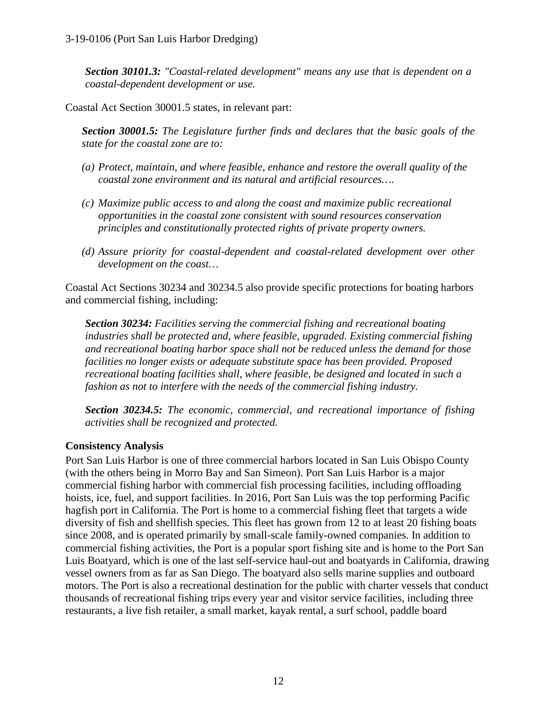*Section 30101.3: "Coastal-related development" means any use that is dependent on a coastal-dependent development or use.* 

Coastal Act Section 30001.5 states, in relevant part:

*Section 30001.5: The Legislature further finds and declares that the basic goals of the state for the coastal zone are to:* 

- *(a) Protect, maintain, and where feasible, enhance and restore the overall quality of the coastal zone environment and its natural and artificial resources….*
- *(c) Maximize public access to and along the coast and maximize public recreational opportunities in the coastal zone consistent with sound resources conservation principles and constitutionally protected rights of private property owners.*
- *(d) Assure priority for coastal-dependent and coastal-related development over other development on the coast…*

Coastal Act Sections 30234 and 30234.5 also provide specific protections for boating harbors and commercial fishing, including:

*Section 30234: Facilities serving the commercial fishing and recreational boating industries shall be protected and, where feasible, upgraded. Existing commercial fishing and recreational boating harbor space shall not be reduced unless the demand for those facilities no longer exists or adequate substitute space has been provided. Proposed recreational boating facilities shall, where feasible, be designed and located in such a fashion as not to interfere with the needs of the commercial fishing industry.* 

*Section 30234.5: The economic, commercial, and recreational importance of fishing activities shall be recognized and protected.* 

### **Consistency Analysis**

Port San Luis Harbor is one of three commercial harbors located in San Luis Obispo County (with the others being in Morro Bay and San Simeon). Port San Luis Harbor is a major commercial fishing harbor with commercial fish processing facilities, including offloading hoists, ice, fuel, and support facilities. In 2016, Port San Luis was the top performing Pacific hagfish port in California. The Port is home to a commercial fishing fleet that targets a wide diversity of fish and shellfish species. This fleet has grown from 12 to at least 20 fishing boats since 2008, and is operated primarily by small-scale family-owned companies. In addition to commercial fishing activities, the Port is a popular sport fishing site and is home to the Port San Luis Boatyard, which is one of the last self-service haul-out and boatyards in California, drawing vessel owners from as far as San Diego. The boatyard also sells marine supplies and outboard motors. The Port is also a recreational destination for the public with charter vessels that conduct thousands of recreational fishing trips every year and visitor service facilities, including three restaurants, a live fish retailer, a small market, kayak rental, a surf school, paddle board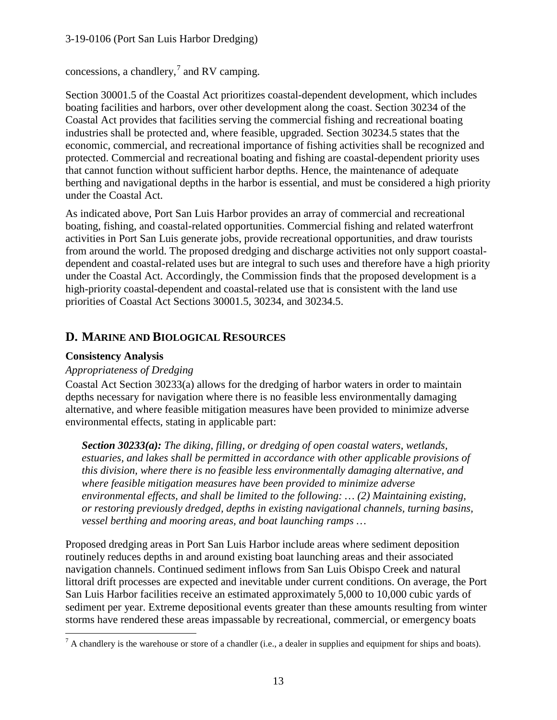concessions, a chandlery, $^7$  $^7$  and RV camping.

Section 30001.5 of the Coastal Act prioritizes coastal-dependent development, which includes boating facilities and harbors, over other development along the coast. Section 30234 of the Coastal Act provides that facilities serving the commercial fishing and recreational boating industries shall be protected and, where feasible, upgraded. Section 30234.5 states that the economic, commercial, and recreational importance of fishing activities shall be recognized and protected. Commercial and recreational boating and fishing are coastal-dependent priority uses that cannot function without sufficient harbor depths. Hence, the maintenance of adequate berthing and navigational depths in the harbor is essential, and must be considered a high priority under the Coastal Act.

As indicated above, Port San Luis Harbor provides an array of commercial and recreational boating, fishing, and coastal-related opportunities. Commercial fishing and related waterfront activities in Port San Luis generate jobs, provide recreational opportunities, and draw tourists from around the world. The proposed dredging and discharge activities not only support coastaldependent and coastal-related uses but are integral to such uses and therefore have a high priority under the Coastal Act. Accordingly, the Commission finds that the proposed development is a high-priority coastal-dependent and coastal-related use that is consistent with the land use priorities of Coastal Act Sections 30001.5, 30234, and 30234.5.

### **D. MARINE AND BIOLOGICAL RESOURCES**

### **Consistency Analysis**

### *Appropriateness of Dredging*

Coastal Act Section 30233(a) allows for the dredging of harbor waters in order to maintain depths necessary for navigation where there is no feasible less environmentally damaging alternative, and where feasible mitigation measures have been provided to minimize adverse environmental effects, stating in applicable part:

*Section 30233(a): The diking, filling, or dredging of open coastal waters, wetlands, estuaries, and lakes shall be permitted in accordance with other applicable provisions of this division, where there is no feasible less environmentally damaging alternative, and where feasible mitigation measures have been provided to minimize adverse environmental effects, and shall be limited to the following: … (2) Maintaining existing, or restoring previously dredged, depths in existing navigational channels, turning basins, vessel berthing and mooring areas, and boat launching ramps …* 

Proposed dredging areas in Port San Luis Harbor include areas where sediment deposition routinely reduces depths in and around existing boat launching areas and their associated navigation channels. Continued sediment inflows from San Luis Obispo Creek and natural littoral drift processes are expected and inevitable under current conditions. On average, the Port San Luis Harbor facilities receive an estimated approximately 5,000 to 10,000 cubic yards of sediment per year. Extreme depositional events greater than these amounts resulting from winter storms have rendered these areas impassable by recreational, commercial, or emergency boats

<span id="page-12-0"></span> $\overline{a}$  $<sup>7</sup>$  A chandlery is the warehouse or store of a chandler (i.e., a dealer in supplies and equipment for ships and boats).</sup>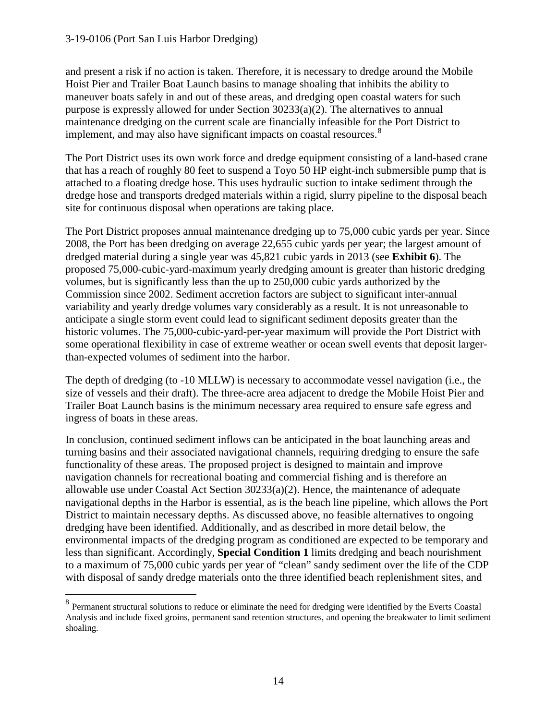$\overline{a}$ 

and present a risk if no action is taken. Therefore, it is necessary to dredge around the Mobile Hoist Pier and Trailer Boat Launch basins to manage shoaling that inhibits the ability to maneuver boats safely in and out of these areas, and dredging open coastal waters for such purpose is expressly allowed for under Section 30233(a)(2). The alternatives to annual maintenance dredging on the current scale are financially infeasible for the Port District to implement, and may also have significant impacts on coastal resources.<sup>[8](#page-13-0)</sup>

The Port District uses its own work force and dredge equipment consisting of a land-based crane that has a reach of roughly 80 feet to suspend a Toyo 50 HP eight-inch submersible pump that is attached to a floating dredge hose. This uses hydraulic suction to intake sediment through the dredge hose and transports dredged materials within a rigid, slurry pipeline to the disposal beach site for continuous disposal when operations are taking place.

The Port District proposes annual maintenance dredging up to 75,000 cubic yards per year. Since 2008, the Port has been dredging on average 22,655 cubic yards per year; the largest amount of dredged material during a single year was 45,821 cubic yards in 2013 (see **Exhibit 6**). The proposed 75,000-cubic-yard-maximum yearly dredging amount is greater than historic dredging volumes, but is significantly less than the up to 250,000 cubic yards authorized by the Commission since 2002. Sediment accretion factors are subject to significant inter-annual variability and yearly dredge volumes vary considerably as a result. It is not unreasonable to anticipate a single storm event could lead to significant sediment deposits greater than the historic volumes. The 75,000-cubic-yard-per-year maximum will provide the Port District with some operational flexibility in case of extreme weather or ocean swell events that deposit largerthan-expected volumes of sediment into the harbor.

The depth of dredging (to -10 MLLW) is necessary to accommodate vessel navigation (i.e., the size of vessels and their draft). The three-acre area adjacent to dredge the Mobile Hoist Pier and Trailer Boat Launch basins is the minimum necessary area required to ensure safe egress and ingress of boats in these areas.

In conclusion, continued sediment inflows can be anticipated in the boat launching areas and turning basins and their associated navigational channels, requiring dredging to ensure the safe functionality of these areas. The proposed project is designed to maintain and improve navigation channels for recreational boating and commercial fishing and is therefore an allowable use under Coastal Act Section 30233(a)(2). Hence, the maintenance of adequate navigational depths in the Harbor is essential, as is the beach line pipeline, which allows the Port District to maintain necessary depths. As discussed above, no feasible alternatives to ongoing dredging have been identified. Additionally, and as described in more detail below, the environmental impacts of the dredging program as conditioned are expected to be temporary and less than significant. Accordingly, **Special Condition 1** limits dredging and beach nourishment to a maximum of 75,000 cubic yards per year of "clean" sandy sediment over the life of the CDP with disposal of sandy dredge materials onto the three identified beach replenishment sites, and

<span id="page-13-0"></span><sup>&</sup>lt;sup>8</sup> Permanent structural solutions to reduce or eliminate the need for dredging were identified by the Everts Coastal Analysis and include fixed groins, permanent sand retention structures, and opening the breakwater to limit sediment shoaling.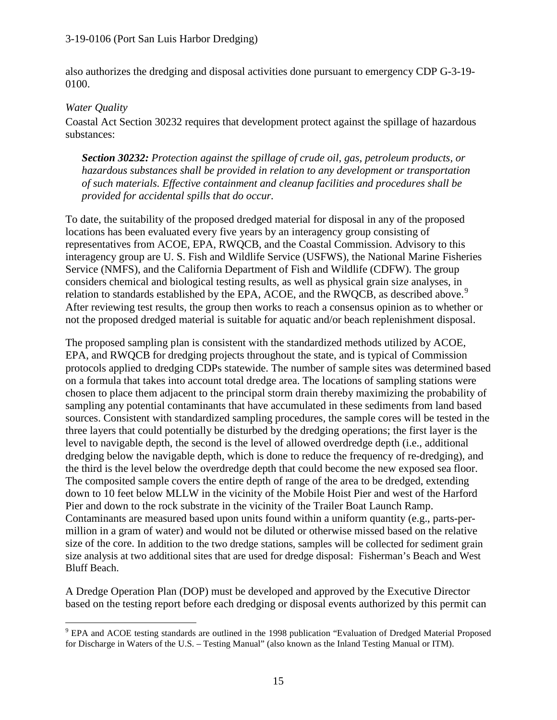also authorizes the dredging and disposal activities done pursuant to emergency CDP G-3-19- 0100.

#### *Water Quality*

Coastal Act Section 30232 requires that development protect against the spillage of hazardous substances:

*Section 30232: Protection against the spillage of crude oil, gas, petroleum products, or hazardous substances shall be provided in relation to any development or transportation of such materials. Effective containment and cleanup facilities and procedures shall be provided for accidental spills that do occur.* 

To date, the suitability of the proposed dredged material for disposal in any of the proposed locations has been evaluated every five years by an interagency group consisting of representatives from ACOE, EPA, RWQCB, and the Coastal Commission. Advisory to this interagency group are U. S. Fish and Wildlife Service (USFWS), the National Marine Fisheries Service (NMFS), and the California Department of Fish and Wildlife (CDFW). The group considers chemical and biological testing results, as well as physical grain size analyses, in relation to standards established by the EPA, ACOE, and the RWQCB, as described above.<sup>[9](#page-14-0)</sup> After reviewing test results, the group then works to reach a consensus opinion as to whether or not the proposed dredged material is suitable for aquatic and/or beach replenishment disposal.

The proposed sampling plan is consistent with the standardized methods utilized by ACOE, EPA, and RWQCB for dredging projects throughout the state, and is typical of Commission protocols applied to dredging CDPs statewide. The number of sample sites was determined based on a formula that takes into account total dredge area. The locations of sampling stations were chosen to place them adjacent to the principal storm drain thereby maximizing the probability of sampling any potential contaminants that have accumulated in these sediments from land based sources. Consistent with standardized sampling procedures, the sample cores will be tested in the three layers that could potentially be disturbed by the dredging operations; the first layer is the level to navigable depth, the second is the level of allowed overdredge depth (i.e., additional dredging below the navigable depth, which is done to reduce the frequency of re-dredging), and the third is the level below the overdredge depth that could become the new exposed sea floor. The composited sample covers the entire depth of range of the area to be dredged, extending down to 10 feet below MLLW in the vicinity of the Mobile Hoist Pier and west of the Harford Pier and down to the rock substrate in the vicinity of the Trailer Boat Launch Ramp. Contaminants are measured based upon units found within a uniform quantity (e.g., parts-permillion in a gram of water) and would not be diluted or otherwise missed based on the relative size of the core. In addition to the two dredge stations, samples will be collected for sediment grain size analysis at two additional sites that are used for dredge disposal: Fisherman's Beach and West Bluff Beach.

A Dredge Operation Plan (DOP) must be developed and approved by the Executive Director based on the testing report before each dredging or disposal events authorized by this permit can

<span id="page-14-0"></span> $\overline{a}$ <sup>9</sup> EPA and ACOE testing standards are outlined in the 1998 publication "Evaluation of Dredged Material Proposed for Discharge in Waters of the U.S. – Testing Manual" (also known as the Inland Testing Manual or ITM).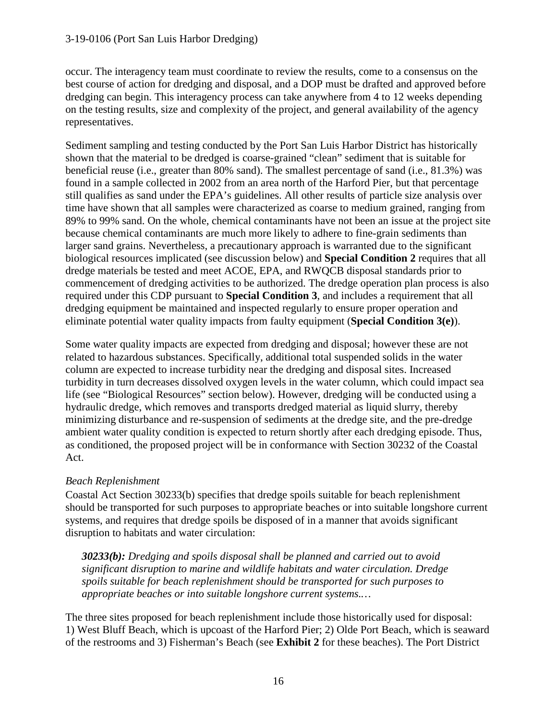occur. The interagency team must coordinate to review the results, come to a consensus on the best course of action for dredging and disposal, and a DOP must be drafted and approved before dredging can begin. This interagency process can take anywhere from 4 to 12 weeks depending on the testing results, size and complexity of the project, and general availability of the agency representatives.

Sediment sampling and testing conducted by the Port San Luis Harbor District has historically shown that the material to be dredged is coarse-grained "clean" sediment that is suitable for beneficial reuse (i.e., greater than 80% sand). The smallest percentage of sand (i.e., 81.3%) was found in a sample collected in 2002 from an area north of the Harford Pier, but that percentage still qualifies as sand under the EPA's guidelines. All other results of particle size analysis over time have shown that all samples were characterized as coarse to medium grained, ranging from 89% to 99% sand. On the whole, chemical contaminants have not been an issue at the project site because chemical contaminants are much more likely to adhere to fine-grain sediments than larger sand grains. Nevertheless, a precautionary approach is warranted due to the significant biological resources implicated (see discussion below) and **Special Condition 2** requires that all dredge materials be tested and meet ACOE, EPA, and RWQCB disposal standards prior to commencement of dredging activities to be authorized. The dredge operation plan process is also required under this CDP pursuant to **Special Condition 3**, and includes a requirement that all dredging equipment be maintained and inspected regularly to ensure proper operation and eliminate potential water quality impacts from faulty equipment (**Special Condition 3(e)**).

Some water quality impacts are expected from dredging and disposal; however these are not related to hazardous substances. Specifically, additional total suspended solids in the water column are expected to increase turbidity near the dredging and disposal sites. Increased turbidity in turn decreases dissolved oxygen levels in the water column, which could impact sea life (see "Biological Resources" section below). However, dredging will be conducted using a hydraulic dredge, which removes and transports dredged material as liquid slurry, thereby minimizing disturbance and re-suspension of sediments at the dredge site, and the pre-dredge ambient water quality condition is expected to return shortly after each dredging episode. Thus, as conditioned, the proposed project will be in conformance with Section 30232 of the Coastal Act.

### *Beach Replenishment*

Coastal Act Section 30233(b) specifies that dredge spoils suitable for beach replenishment should be transported for such purposes to appropriate beaches or into suitable longshore current systems, and requires that dredge spoils be disposed of in a manner that avoids significant disruption to habitats and water circulation:

*30233(b): Dredging and spoils disposal shall be planned and carried out to avoid significant disruption to marine and wildlife habitats and water circulation. Dredge spoils suitable for beach replenishment should be transported for such purposes to appropriate beaches or into suitable longshore current systems.…*

The three sites proposed for beach replenishment include those historically used for disposal: 1) West Bluff Beach, which is upcoast of the Harford Pier; 2) Olde Port Beach, which is seaward of the restrooms and 3) Fisherman's Beach (see **Exhibit 2** for these beaches). The Port District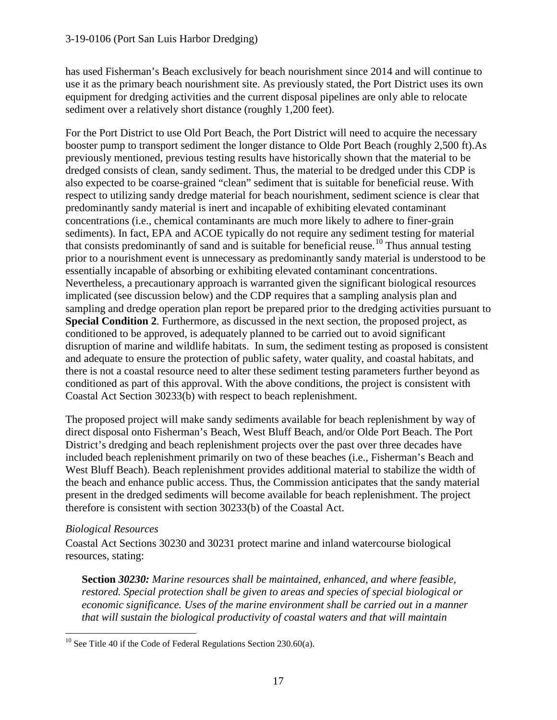has used Fisherman's Beach exclusively for beach nourishment since 2014 and will continue to use it as the primary beach nourishment site. As previously stated, the Port District uses its own equipment for dredging activities and the current disposal pipelines are only able to relocate sediment over a relatively short distance (roughly 1,200 feet).

For the Port District to use Old Port Beach, the Port District will need to acquire the necessary booster pump to transport sediment the longer distance to Olde Port Beach (roughly 2,500 ft).As previously mentioned, previous testing results have historically shown that the material to be dredged consists of clean, sandy sediment. Thus, the material to be dredged under this CDP is also expected to be coarse-grained "clean" sediment that is suitable for beneficial reuse. With respect to utilizing sandy dredge material for beach nourishment, sediment science is clear that predominantly sandy material is inert and incapable of exhibiting elevated contaminant concentrations (i.e., chemical contaminants are much more likely to adhere to finer-grain sediments). In fact, EPA and ACOE typically do not require any sediment testing for material that consists predominantly of sand and is suitable for beneficial reuse.<sup>10</sup> Thus annual testing prior to a nourishment event is unnecessary as predominantly sandy material is understood to be essentially incapable of absorbing or exhibiting elevated contaminant concentrations. Nevertheless, a precautionary approach is warranted given the significant biological resources implicated (see discussion below) and the CDP requires that a sampling analysis plan and sampling and dredge operation plan report be prepared prior to the dredging activities pursuant to **Special Condition 2**. Furthermore, as discussed in the next section, the proposed project, as conditioned to be approved, is adequately planned to be carried out to avoid significant disruption of marine and wildlife habitats. In sum, the sediment testing as proposed is consistent and adequate to ensure the protection of public safety, water quality, and coastal habitats, and there is not a coastal resource need to alter these sediment testing parameters further beyond as conditioned as part of this approval. With the above conditions, the project is consistent with Coastal Act Section 30233(b) with respect to beach replenishment.

The proposed project will make sandy sediments available for beach replenishment by way of direct disposal onto Fisherman's Beach, West Bluff Beach, and/or Olde Port Beach. The Port District's dredging and beach replenishment projects over the past over three decades have included beach replenishment primarily on two of these beaches (i.e., Fisherman's Beach and West Bluff Beach). Beach replenishment provides additional material to stabilize the width of the beach and enhance public access. Thus, the Commission anticipates that the sandy material present in the dredged sediments will become available for beach replenishment. The project therefore is consistent with section 30233(b) of the Coastal Act.

### *Biological Resources*

Coastal Act Sections 30230 and 30231 protect marine and inland watercourse biological resources, stating:

**Section** *30230: Marine resources shall be maintained, enhanced, and where feasible, restored. Special protection shall be given to areas and species of special biological or economic significance. Uses of the marine environment shall be carried out in a manner that will sustain the biological productivity of coastal waters and that will maintain* 

<span id="page-16-0"></span> $\overline{a}$ <sup>10</sup> See Title 40 if the Code of Federal Regulations Section 230.60(a).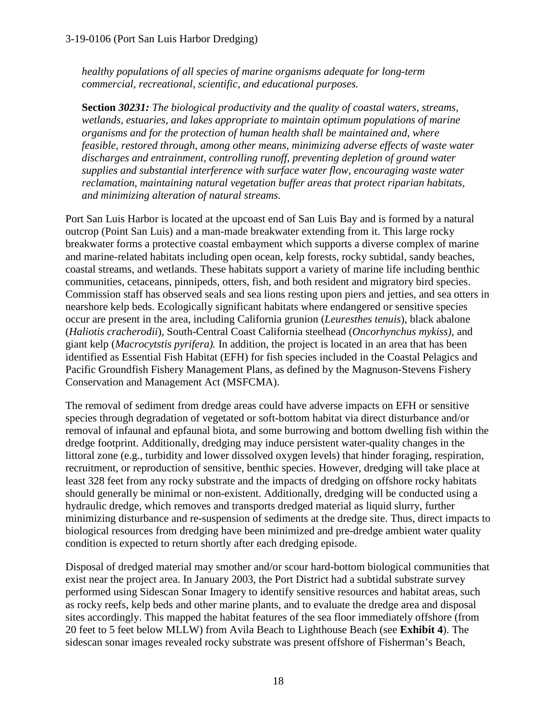*healthy populations of all species of marine organisms adequate for long-term commercial, recreational, scientific, and educational purposes.* 

**Section** *30231: The biological productivity and the quality of coastal waters, streams, wetlands, estuaries, and lakes appropriate to maintain optimum populations of marine organisms and for the protection of human health shall be maintained and, where feasible, restored through, among other means, minimizing adverse effects of waste water discharges and entrainment, controlling runoff, preventing depletion of ground water supplies and substantial interference with surface water flow, encouraging waste water reclamation, maintaining natural vegetation buffer areas that protect riparian habitats, and minimizing alteration of natural streams.* 

Port San Luis Harbor is located at the upcoast end of San Luis Bay and is formed by a natural outcrop (Point San Luis) and a man-made breakwater extending from it. This large rocky breakwater forms a protective coastal embayment which supports a diverse complex of marine and marine-related habitats including open ocean, kelp forests, rocky subtidal, sandy beaches, coastal streams, and wetlands. These habitats support a variety of marine life including benthic communities, cetaceans, pinnipeds, otters, fish, and both resident and migratory bird species. Commission staff has observed seals and sea lions resting upon piers and jetties, and sea otters in nearshore kelp beds. Ecologically significant habitats where endangered or sensitive species occur are present in the area, including California grunion (*Leuresthes tenuis*), black abalone (*Haliotis cracherodii*)*,* South-Central Coast California steelhead (*Oncorhynchus mykiss),* and giant kelp (*Macrocytstis pyrifera).* In addition, the project is located in an area that has been identified as Essential Fish Habitat (EFH) for fish species included in the Coastal Pelagics and Pacific Groundfish Fishery Management Plans, as defined by the Magnuson-Stevens Fishery Conservation and Management Act (MSFCMA).

The removal of sediment from dredge areas could have adverse impacts on EFH or sensitive species through degradation of vegetated or soft-bottom habitat via direct disturbance and/or removal of infaunal and epfaunal biota, and some burrowing and bottom dwelling fish within the dredge footprint. Additionally, dredging may induce persistent water-quality changes in the littoral zone (e.g., turbidity and lower dissolved oxygen levels) that hinder foraging, respiration, recruitment, or reproduction of sensitive, benthic species. However, dredging will take place at least 328 feet from any rocky substrate and the impacts of dredging on offshore rocky habitats should generally be minimal or non-existent. Additionally, dredging will be conducted using a hydraulic dredge, which removes and transports dredged material as liquid slurry, further minimizing disturbance and re-suspension of sediments at the dredge site. Thus, direct impacts to biological resources from dredging have been minimized and pre-dredge ambient water quality condition is expected to return shortly after each dredging episode.

Disposal of dredged material may smother and/or scour hard-bottom biological communities that exist near the project area. In January 2003, the Port District had a subtidal substrate survey performed using Sidescan Sonar Imagery to identify sensitive resources and habitat areas, such as rocky reefs, kelp beds and other marine plants, and to evaluate the dredge area and disposal sites accordingly. This mapped the habitat features of the sea floor immediately offshore (from 20 feet to 5 feet below MLLW) from Avila Beach to Lighthouse Beach (see **Exhibit 4**). The sidescan sonar images revealed rocky substrate was present offshore of Fisherman's Beach,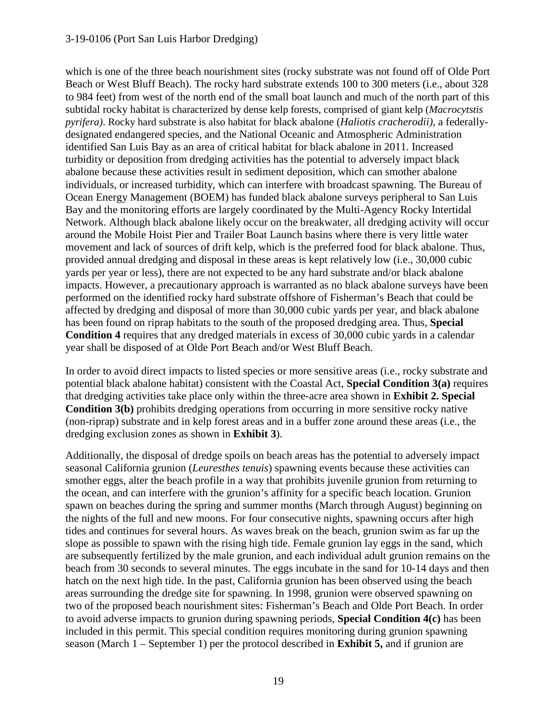which is one of the three beach nourishment sites (rocky substrate was not found off of Olde Port Beach or West Bluff Beach). The rocky hard substrate extends 100 to 300 meters (i.e., about 328 to 984 feet) from west of the north end of the small boat launch and much of the north part of this subtidal rocky habitat is characterized by dense kelp forests, comprised of giant kelp (*Macrocytstis pyrifera)*. Rocky hard substrate is also habitat for black abalone (*Haliotis cracherodii)*, a federallydesignated endangered species, and the National Oceanic and Atmospheric Administration identified San Luis Bay as an area of critical habitat for black abalone in 2011. Increased turbidity or deposition from dredging activities has the potential to adversely impact black abalone because these activities result in sediment deposition, which can smother abalone individuals, or increased turbidity, which can interfere with broadcast spawning. The Bureau of Ocean Energy Management (BOEM) has funded black abalone surveys peripheral to San Luis Bay and the monitoring efforts are largely coordinated by the Multi-Agency Rocky Intertidal Network. Although black abalone likely occur on the breakwater, all dredging activity will occur around the Mobile Hoist Pier and Trailer Boat Launch basins where there is very little water movement and lack of sources of drift kelp, which is the preferred food for black abalone. Thus, provided annual dredging and disposal in these areas is kept relatively low (i.e., 30,000 cubic yards per year or less), there are not expected to be any hard substrate and/or black abalone impacts. However, a precautionary approach is warranted as no black abalone surveys have been performed on the identified rocky hard substrate offshore of Fisherman's Beach that could be affected by dredging and disposal of more than 30,000 cubic yards per year, and black abalone has been found on riprap habitats to the south of the proposed dredging area. Thus, **Special Condition 4** requires that any dredged materials in excess of 30,000 cubic yards in a calendar year shall be disposed of at Olde Port Beach and/or West Bluff Beach.

In order to avoid direct impacts to listed species or more sensitive areas (i.e., rocky substrate and potential black abalone habitat) consistent with the Coastal Act, **Special Condition 3(a)** requires that dredging activities take place only within the three-acre area shown in **Exhibit 2. Special Condition 3(b)** prohibits dredging operations from occurring in more sensitive rocky native (non-riprap) substrate and in kelp forest areas and in a buffer zone around these areas (i.e., the dredging exclusion zones as shown in **Exhibit 3**).

Additionally, the disposal of dredge spoils on beach areas has the potential to adversely impact seasonal California grunion (*Leuresthes tenuis*) spawning events because these activities can smother eggs, alter the beach profile in a way that prohibits juvenile grunion from returning to the ocean, and can interfere with the grunion's affinity for a specific beach location. Grunion spawn on beaches during the spring and summer months (March through August) beginning on the nights of the full and new moons. For four consecutive nights, spawning occurs after high tides and continues for several hours. As waves break on the beach, grunion swim as far up the slope as possible to spawn with the rising high tide. Female grunion lay eggs in the sand, which are subsequently fertilized by the male grunion, and each individual adult grunion remains on the beach from 30 seconds to several minutes. The eggs incubate in the sand for 10-14 days and then hatch on the next high tide. In the past, California grunion has been observed using the beach areas surrounding the dredge site for spawning. In 1998, grunion were observed spawning on two of the proposed beach nourishment sites: Fisherman's Beach and Olde Port Beach. In order to avoid adverse impacts to grunion during spawning periods, **Special Condition 4(c)** has been included in this permit. This special condition requires monitoring during grunion spawning season (March 1 – September 1) per the protocol described in **Exhibit 5,** and if grunion are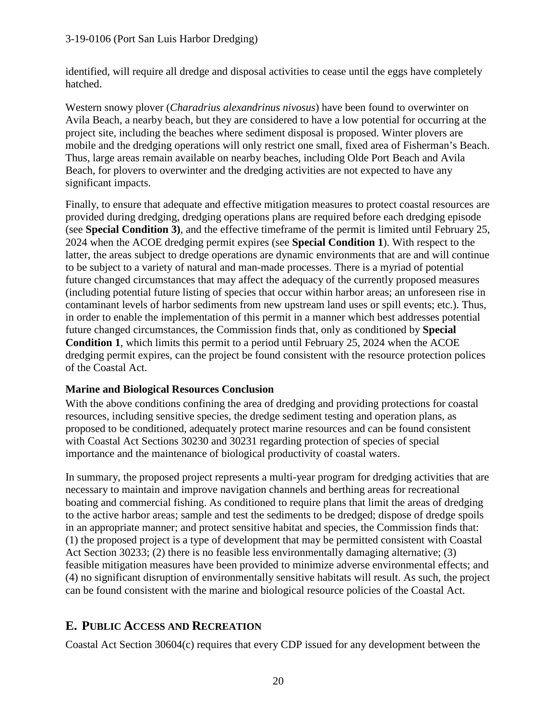identified, will require all dredge and disposal activities to cease until the eggs have completely hatched.

Western snowy plover (*Charadrius alexandrinus nivosus*) have been found to overwinter on Avila Beach, a nearby beach, but they are considered to have a low potential for occurring at the project site, including the beaches where sediment disposal is proposed. Winter plovers are mobile and the dredging operations will only restrict one small, fixed area of Fisherman's Beach. Thus, large areas remain available on nearby beaches, including Olde Port Beach and Avila Beach, for plovers to overwinter and the dredging activities are not expected to have any significant impacts.

Finally, to ensure that adequate and effective mitigation measures to protect coastal resources are provided during dredging, dredging operations plans are required before each dredging episode (see **Special Condition 3)**, and the effective timeframe of the permit is limited until February 25, 2024 when the ACOE dredging permit expires (see **Special Condition 1**). With respect to the latter, the areas subject to dredge operations are dynamic environments that are and will continue to be subject to a variety of natural and man-made processes. There is a myriad of potential future changed circumstances that may affect the adequacy of the currently proposed measures (including potential future listing of species that occur within harbor areas; an unforeseen rise in contaminant levels of harbor sediments from new upstream land uses or spill events; etc.). Thus, in order to enable the implementation of this permit in a manner which best addresses potential future changed circumstances, the Commission finds that, only as conditioned by **Special Condition 1**, which limits this permit to a period until February 25, 2024 when the ACOE dredging permit expires, can the project be found consistent with the resource protection polices of the Coastal Act.

### **Marine and Biological Resources Conclusion**

With the above conditions confining the area of dredging and providing protections for coastal resources, including sensitive species, the dredge sediment testing and operation plans, as proposed to be conditioned, adequately protect marine resources and can be found consistent with Coastal Act Sections 30230 and 30231 regarding protection of species of special importance and the maintenance of biological productivity of coastal waters.

In summary, the proposed project represents a multi-year program for dredging activities that are necessary to maintain and improve navigation channels and berthing areas for recreational boating and commercial fishing. As conditioned to require plans that limit the areas of dredging to the active harbor areas; sample and test the sediments to be dredged; dispose of dredge spoils in an appropriate manner; and protect sensitive habitat and species, the Commission finds that: (1) the proposed project is a type of development that may be permitted consistent with Coastal Act Section 30233; (2) there is no feasible less environmentally damaging alternative; (3) feasible mitigation measures have been provided to minimize adverse environmental effects; and (4) no significant disruption of environmentally sensitive habitats will result. As such, the project can be found consistent with the marine and biological resource policies of the Coastal Act.

# **E. PUBLIC ACCESS AND RECREATION**

Coastal Act Section 30604(c) requires that every CDP issued for any development between the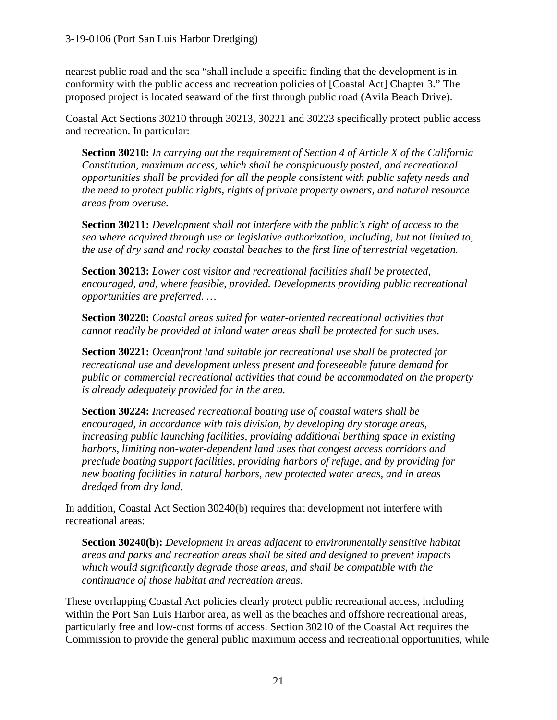nearest public road and the sea "shall include a specific finding that the development is in conformity with the public access and recreation policies of [Coastal Act] Chapter 3." The proposed project is located seaward of the first through public road (Avila Beach Drive).

Coastal Act Sections 30210 through 30213, 30221 and 30223 specifically protect public access and recreation. In particular:

**Section 30210:** *In carrying out the requirement of Section 4 of Article X of the California Constitution, maximum access, which shall be conspicuously posted, and recreational opportunities shall be provided for all the people consistent with public safety needs and the need to protect public rights, rights of private property owners, and natural resource areas from overuse.*

**Section 30211:** *Development shall not interfere with the public's right of access to the sea where acquired through use or legislative authorization, including, but not limited to, the use of dry sand and rocky coastal beaches to the first line of terrestrial vegetation.*

**Section 30213:** *Lower cost visitor and recreational facilities shall be protected, encouraged, and, where feasible, provided. Developments providing public recreational opportunities are preferred. …*

**Section 30220:** *Coastal areas suited for water-oriented recreational activities that cannot readily be provided at inland water areas shall be protected for such uses.*

**Section 30221:** *Oceanfront land suitable for recreational use shall be protected for recreational use and development unless present and foreseeable future demand for public or commercial recreational activities that could be accommodated on the property is already adequately provided for in the area.*

**Section 30224:** *Increased recreational boating use of coastal waters shall be encouraged, in accordance with this division, by developing dry storage areas, increasing public launching facilities, providing additional berthing space in existing harbors, limiting non-water-dependent land uses that congest access corridors and preclude boating support facilities, providing harbors of refuge, and by providing for new boating facilities in natural harbors, new protected water areas, and in areas dredged from dry land.*

In addition, Coastal Act Section 30240(b) requires that development not interfere with recreational areas:

**Section 30240(b):** *Development in areas adjacent to environmentally sensitive habitat areas and parks and recreation areas shall be sited and designed to prevent impacts which would significantly degrade those areas, and shall be compatible with the continuance of those habitat and recreation areas.*

These overlapping Coastal Act policies clearly protect public recreational access, including within the Port San Luis Harbor area, as well as the beaches and offshore recreational areas, particularly free and low-cost forms of access. Section 30210 of the Coastal Act requires the Commission to provide the general public maximum access and recreational opportunities, while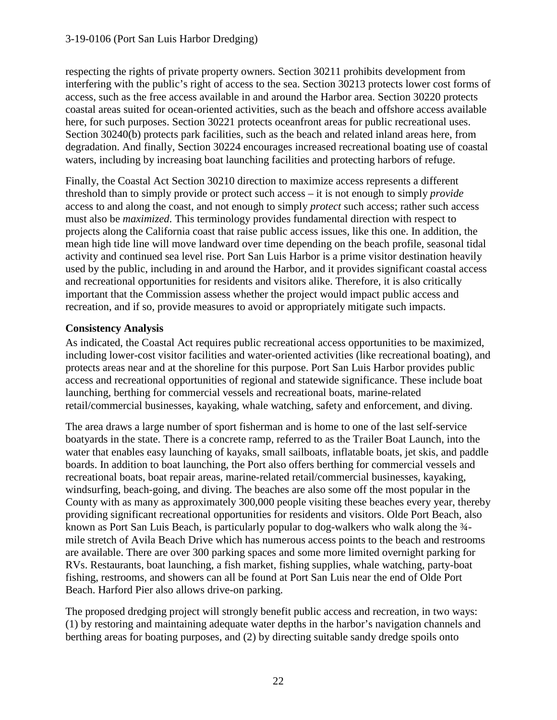respecting the rights of private property owners. Section 30211 prohibits development from interfering with the public's right of access to the sea. Section 30213 protects lower cost forms of access, such as the free access available in and around the Harbor area. Section 30220 protects coastal areas suited for ocean-oriented activities, such as the beach and offshore access available here, for such purposes. Section 30221 protects oceanfront areas for public recreational uses. Section 30240(b) protects park facilities, such as the beach and related inland areas here, from degradation. And finally, Section 30224 encourages increased recreational boating use of coastal waters, including by increasing boat launching facilities and protecting harbors of refuge.

Finally, the Coastal Act Section 30210 direction to maximize access represents a different threshold than to simply provide or protect such access – it is not enough to simply *provide* access to and along the coast, and not enough to simply *protect* such access; rather such access must also be *maximized*. This terminology provides fundamental direction with respect to projects along the California coast that raise public access issues, like this one. In addition, the mean high tide line will move landward over time depending on the beach profile, seasonal tidal activity and continued sea level rise. Port San Luis Harbor is a prime visitor destination heavily used by the public, including in and around the Harbor, and it provides significant coastal access and recreational opportunities for residents and visitors alike. Therefore, it is also critically important that the Commission assess whether the project would impact public access and recreation, and if so, provide measures to avoid or appropriately mitigate such impacts.

### **Consistency Analysis**

As indicated, the Coastal Act requires public recreational access opportunities to be maximized, including lower-cost visitor facilities and water-oriented activities (like recreational boating), and protects areas near and at the shoreline for this purpose. Port San Luis Harbor provides public access and recreational opportunities of regional and statewide significance. These include boat launching, berthing for commercial vessels and recreational boats, marine-related retail/commercial businesses, kayaking, whale watching, safety and enforcement, and diving.

The area draws a large number of sport fisherman and is home to one of the last self-service boatyards in the state. There is a concrete ramp, referred to as the Trailer Boat Launch, into the water that enables easy launching of kayaks, small sailboats, inflatable boats, jet skis, and paddle boards. In addition to boat launching, the Port also offers berthing for commercial vessels and recreational boats, boat repair areas, marine-related retail/commercial businesses, kayaking, windsurfing, beach-going, and diving. The beaches are also some off the most popular in the County with as many as approximately 300,000 people visiting these beaches every year, thereby providing significant recreational opportunities for residents and visitors. Olde Port Beach, also known as Port San Luis Beach, is particularly popular to dog-walkers who walk along the  $\frac{3}{4}$ mile stretch of Avila Beach Drive which has numerous access points to the beach and restrooms are available. There are over 300 parking spaces and some more limited overnight parking for RVs. Restaurants, boat launching, a fish market, fishing supplies, whale watching, party-boat fishing, restrooms, and showers can all be found at Port San Luis near the end of Olde Port Beach. Harford Pier also allows drive-on parking.

The proposed dredging project will strongly benefit public access and recreation, in two ways: (1) by restoring and maintaining adequate water depths in the harbor's navigation channels and berthing areas for boating purposes, and (2) by directing suitable sandy dredge spoils onto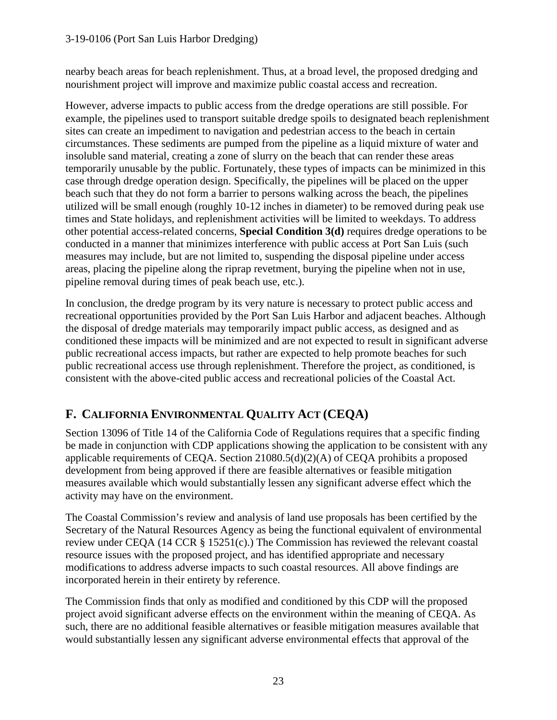nearby beach areas for beach replenishment. Thus, at a broad level, the proposed dredging and nourishment project will improve and maximize public coastal access and recreation.

However, adverse impacts to public access from the dredge operations are still possible. For example, the pipelines used to transport suitable dredge spoils to designated beach replenishment sites can create an impediment to navigation and pedestrian access to the beach in certain circumstances. These sediments are pumped from the pipeline as a liquid mixture of water and insoluble sand material, creating a zone of slurry on the beach that can render these areas temporarily unusable by the public. Fortunately, these types of impacts can be minimized in this case through dredge operation design. Specifically, the pipelines will be placed on the upper beach such that they do not form a barrier to persons walking across the beach, the pipelines utilized will be small enough (roughly 10-12 inches in diameter) to be removed during peak use times and State holidays, and replenishment activities will be limited to weekdays. To address other potential access-related concerns, **Special Condition 3(d)** requires dredge operations to be conducted in a manner that minimizes interference with public access at Port San Luis (such measures may include, but are not limited to, suspending the disposal pipeline under access areas, placing the pipeline along the riprap revetment, burying the pipeline when not in use, pipeline removal during times of peak beach use, etc.).

In conclusion, the dredge program by its very nature is necessary to protect public access and recreational opportunities provided by the Port San Luis Harbor and adjacent beaches. Although the disposal of dredge materials may temporarily impact public access, as designed and as conditioned these impacts will be minimized and are not expected to result in significant adverse public recreational access impacts, but rather are expected to help promote beaches for such public recreational access use through replenishment. Therefore the project, as conditioned, is consistent with the above-cited public access and recreational policies of the Coastal Act.

# **F. CALIFORNIA ENVIRONMENTAL QUALITY ACT (CEQA)**

Section 13096 of Title 14 of the California Code of Regulations requires that a specific finding be made in conjunction with CDP applications showing the application to be consistent with any applicable requirements of CEQA. Section 21080.5(d)(2)(A) of CEQA prohibits a proposed development from being approved if there are feasible alternatives or feasible mitigation measures available which would substantially lessen any significant adverse effect which the activity may have on the environment.

The Coastal Commission's review and analysis of land use proposals has been certified by the Secretary of the Natural Resources Agency as being the functional equivalent of environmental review under CEQA (14 CCR § 15251(c).) The Commission has reviewed the relevant coastal resource issues with the proposed project, and has identified appropriate and necessary modifications to address adverse impacts to such coastal resources. All above findings are incorporated herein in their entirety by reference.

The Commission finds that only as modified and conditioned by this CDP will the proposed project avoid significant adverse effects on the environment within the meaning of CEQA. As such, there are no additional feasible alternatives or feasible mitigation measures available that would substantially lessen any significant adverse environmental effects that approval of the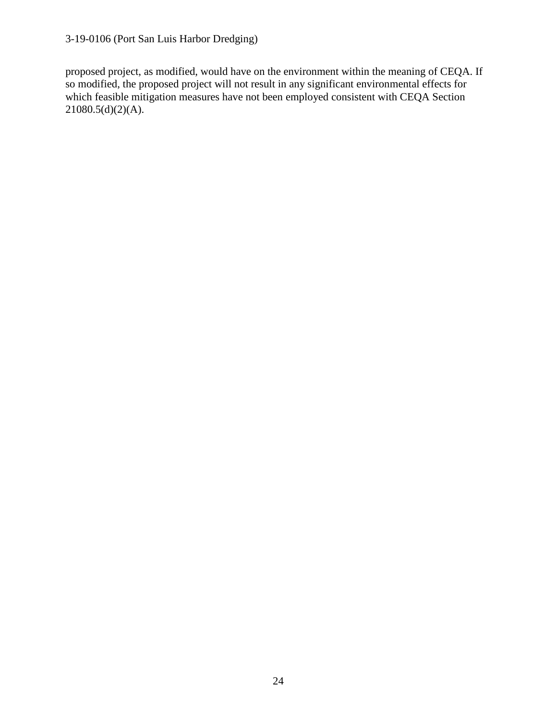proposed project, as modified, would have on the environment within the meaning of CEQA. If so modified, the proposed project will not result in any significant environmental effects for which feasible mitigation measures have not been employed consistent with CEQA Section  $21080.5(d)(2)(A)$ .